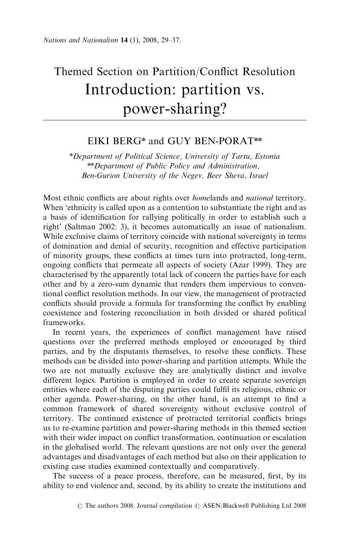# Themed Section on Partition/Conflict Resolution Introduction: partition vs. power-sharing?

## EIKI BERG\* and GUY BEN-PORAT\*\*

\*Department of Political Science, University of Tartu, Estonia \*\*Department of Public Policy and Administration, Ben-Gurion University of the Negev, Beer Sheva, Israel

Most ethnic conflicts are about rights over *homelands and national* territory. When 'ethnicity is called upon as a contention to substantiate the right and as a basis of identification for rallying politically in order to establish such a right' (Saltman 2002: 3), it becomes automatically an issue of nationalism. While exclusive claims of territory coincide with national sovereignty in terms of domination and denial of security, recognition and effective participation of minority groups, these conflicts at times turn into protracted, long-term, ongoing conflicts that permeate all aspects of society (Azar 1999). They are characterised by the apparently total lack of concern the parties have for each other and by a zero-sum dynamic that renders them impervious to conventional conflict resolution methods. In our view, the management of protracted conflicts should provide a formula for transforming the conflict by enabling coexistence and fostering reconciliation in both divided or shared political frameworks.

In recent years, the experiences of conflict management have raised questions over the preferred methods employed or encouraged by third parties, and by the disputants themselves, to resolve these conflicts. These methods can be divided into power-sharing and partition attempts. While the two are not mutually exclusive they are analytically distinct and involve different logics. Partition is employed in order to create separate sovereign entities where each of the disputing parties could fulfil its religious, ethnic or other agenda. Power-sharing, on the other hand, is an attempt to find a common framework of shared sovereignty without exclusive control of territory. The continued existence of protracted territorial conflicts brings us to re-examine partition and power-sharing methods in this themed section with their wider impact on conflict transformation, continuation or escalation in the globalised world. The relevant questions are not only over the general advantages and disadvantages of each method but also on their application to existing case studies examined contextually and comparatively.

The success of a peace process, therefore, can be measured, first, by its ability to end violence and, second, by its ability to create the institutions and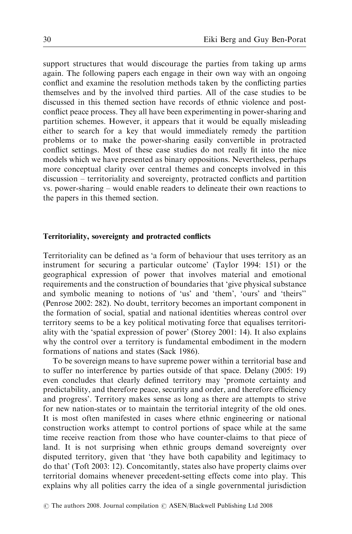support structures that would discourage the parties from taking up arms again. The following papers each engage in their own way with an ongoing conflict and examine the resolution methods taken by the conflicting parties themselves and by the involved third parties. All of the case studies to be discussed in this themed section have records of ethnic violence and postconflict peace process. They all have been experimenting in power-sharing and partition schemes. However, it appears that it would be equally misleading either to search for a key that would immediately remedy the partition problems or to make the power-sharing easily convertible in protracted conflict settings. Most of these case studies do not really fit into the nice models which we have presented as binary oppositions. Nevertheless, perhaps more conceptual clarity over central themes and concepts involved in this discussion – territoriality and sovereignty, protracted conflicts and partition vs. power-sharing – would enable readers to delineate their own reactions to the papers in this themed section.

### Territoriality, sovereignty and protracted conflicts

Territoriality can be defined as 'a form of behaviour that uses territory as an instrument for securing a particular outcome' (Taylor 1994: 151) or the geographical expression of power that involves material and emotional requirements and the construction of boundaries that 'give physical substance and symbolic meaning to notions of 'us' and 'them', 'ours' and 'theirs'' (Penrose 2002: 282). No doubt, territory becomes an important component in the formation of social, spatial and national identities whereas control over territory seems to be a key political motivating force that equalises territoriality with the 'spatial expression of power' (Storey 2001: 14). It also explains why the control over a territory is fundamental embodiment in the modern formations of nations and states (Sack 1986).

To be sovereign means to have supreme power within a territorial base and to suffer no interference by parties outside of that space. Delany (2005: 19) even concludes that clearly defined territory may 'promote certainty and predictability, and therefore peace, security and order, and therefore efficiency and progress'. Territory makes sense as long as there are attempts to strive for new nation-states or to maintain the territorial integrity of the old ones. It is most often manifested in cases where ethnic engineering or national construction works attempt to control portions of space while at the same time receive reaction from those who have counter-claims to that piece of land. It is not surprising when ethnic groups demand sovereignty over disputed territory, given that 'they have both capability and legitimacy to do that' (Toft 2003: 12). Concomitantly, states also have property claims over territorial domains whenever precedent-setting effects come into play. This explains why all polities carry the idea of a single governmental jurisdiction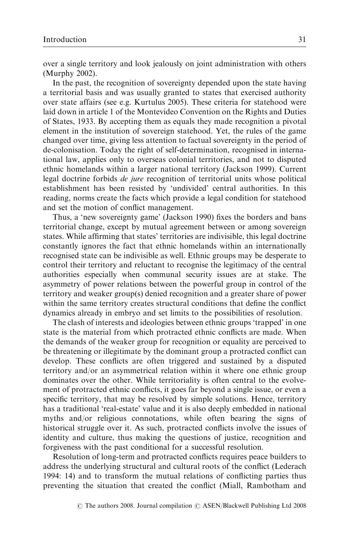over a single territory and look jealously on joint administration with others (Murphy 2002).

In the past, the recognition of sovereignty depended upon the state having a territorial basis and was usually granted to states that exercised authority over state affairs (see e.g. Kurtulus 2005). These criteria for statehood were laid down in article 1 of the Montevideo Convention on the Rights and Duties of States, 1933. By accepting them as equals they made recognition a pivotal element in the institution of sovereign statehood. Yet, the rules of the game changed over time, giving less attention to factual sovereignty in the period of de-colonisation. Today the right of self-determination, recognised in international law, applies only to overseas colonial territories, and not to disputed ethnic homelands within a larger national territory (Jackson 1999). Current legal doctrine forbids de jure recognition of territorial units whose political establishment has been resisted by 'undivided' central authorities. In this reading, norms create the facts which provide a legal condition for statehood and set the motion of conflict management.

Thus, a 'new sovereignty game' (Jackson 1990) fixes the borders and bans territorial change, except by mutual agreement between or among sovereign states. While affirming that states' territories are indivisible, this legal doctrine constantly ignores the fact that ethnic homelands within an internationally recognised state can be indivisible as well. Ethnic groups may be desperate to control their territory and reluctant to recognise the legitimacy of the central authorities especially when communal security issues are at stake. The asymmetry of power relations between the powerful group in control of the territory and weaker group(s) denied recognition and a greater share of power within the same territory creates structural conditions that define the conflict dynamics already in embryo and set limits to the possibilities of resolution.

The clash of interests and ideologies between ethnic groups 'trapped' in one state is the material from which protracted ethnic conflicts are made. When the demands of the weaker group for recognition or equality are perceived to be threatening or illegitimate by the dominant group a protracted conflict can develop. These conflicts are often triggered and sustained by a disputed territory and/or an asymmetrical relation within it where one ethnic group dominates over the other. While territoriality is often central to the evolvement of protracted ethnic conflicts, it goes far beyond a single issue, or even a specific territory, that may be resolved by simple solutions. Hence, territory has a traditional 'real-estate' value and it is also deeply embedded in national myths and/or religious connotations, while often bearing the signs of historical struggle over it. As such, protracted conflicts involve the issues of identity and culture, thus making the questions of justice, recognition and forgiveness with the past conditional for a successful resolution.

Resolution of long-term and protracted conflicts requires peace builders to address the underlying structural and cultural roots of the conflict (Lederach 1994: 14) and to transform the mutual relations of conflicting parties thus preventing the situation that created the conflict (Miall, Rambotham and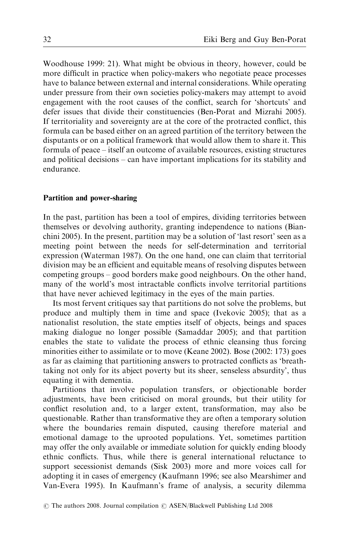Woodhouse 1999: 21). What might be obvious in theory, however, could be more difficult in practice when policy-makers who negotiate peace processes have to balance between external and internal considerations. While operating under pressure from their own societies policy-makers may attempt to avoid engagement with the root causes of the conflict, search for 'shortcuts' and defer issues that divide their constituencies (Ben-Porat and Mizrahi 2005). If territoriality and sovereignty are at the core of the protracted conflict, this formula can be based either on an agreed partition of the territory between the disputants or on a political framework that would allow them to share it. This formula of peace – itself an outcome of available resources, existing structures and political decisions – can have important implications for its stability and endurance.

#### Partition and power-sharing

In the past, partition has been a tool of empires, dividing territories between themselves or devolving authority, granting independence to nations (Bianchini 2005). In the present, partition may be a solution of 'last resort' seen as a meeting point between the needs for self-determination and territorial expression (Waterman 1987). On the one hand, one can claim that territorial division may be an efficient and equitable means of resolving disputes between competing groups – good borders make good neighbours. On the other hand, many of the world's most intractable conflicts involve territorial partitions that have never achieved legitimacy in the eyes of the main parties.

Its most fervent critiques say that partitions do not solve the problems, but produce and multiply them in time and space (Ivekovic 2005); that as a nationalist resolution, the state empties itself of objects, beings and spaces making dialogue no longer possible (Samaddar 2005); and that partition enables the state to validate the process of ethnic cleansing thus forcing minorities either to assimilate or to move (Keane 2002). Bose (2002: 173) goes as far as claiming that partitioning answers to protracted conflicts as 'breathtaking not only for its abject poverty but its sheer, senseless absurdity', thus equating it with dementia.

Partitions that involve population transfers, or objectionable border adjustments, have been criticised on moral grounds, but their utility for conflict resolution and, to a larger extent, transformation, may also be questionable. Rather than transformative they are often a temporary solution where the boundaries remain disputed, causing therefore material and emotional damage to the uprooted populations. Yet, sometimes partition may offer the only available or immediate solution for quickly ending bloody ethnic conflicts. Thus, while there is general international reluctance to support secessionist demands (Sisk 2003) more and more voices call for adopting it in cases of emergency (Kaufmann 1996; see also Mearshimer and Van-Evera 1995). In Kaufmann's frame of analysis, a security dilemma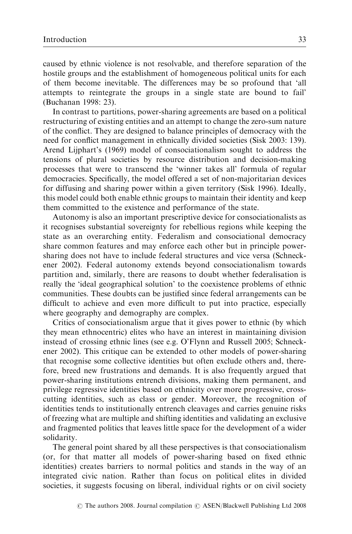caused by ethnic violence is not resolvable, and therefore separation of the hostile groups and the establishment of homogeneous political units for each of them become inevitable. The differences may be so profound that 'all attempts to reintegrate the groups in a single state are bound to fail' (Buchanan 1998: 23).

In contrast to partitions, power-sharing agreements are based on a political restructuring of existing entities and an attempt to change the zero-sum nature of the conflict. They are designed to balance principles of democracy with the need for conflict management in ethnically divided societies (Sisk 2003: 139). Arend Lijphart's (1969) model of consociationalism sought to address the tensions of plural societies by resource distribution and decision-making processes that were to transcend the 'winner takes all' formula of regular democracies. Specifically, the model offered a set of non-majoritarian devices for diffusing and sharing power within a given territory (Sisk 1996). Ideally, this model could both enable ethnic groups to maintain their identity and keep them committed to the existence and performance of the state.

Autonomy is also an important prescriptive device for consociationalists as it recognises substantial sovereignty for rebellious regions while keeping the state as an overarching entity. Federalism and consociational democracy share common features and may enforce each other but in principle powersharing does not have to include federal structures and vice versa (Schneckener 2002). Federal autonomy extends beyond consociationalism towards partition and, similarly, there are reasons to doubt whether federalisation is really the 'ideal geographical solution' to the coexistence problems of ethnic communities. These doubts can be justified since federal arrangements can be difficult to achieve and even more difficult to put into practice, especially where geography and demography are complex.

Critics of consociationalism argue that it gives power to ethnic (by which they mean ethnocentric) elites who have an interest in maintaining division instead of crossing ethnic lines (see e.g. O'Flynn and Russell 2005; Schneckener 2002). This critique can be extended to other models of power-sharing that recognise some collective identities but often exclude others and, therefore, breed new frustrations and demands. It is also frequently argued that power-sharing institutions entrench divisions, making them permanent, and privilege regressive identities based on ethnicity over more progressive, crosscutting identities, such as class or gender. Moreover, the recognition of identities tends to institutionally entrench cleavages and carries genuine risks of freezing what are multiple and shifting identities and validating an exclusive and fragmented politics that leaves little space for the development of a wider solidarity.

The general point shared by all these perspectives is that consociationalism (or, for that matter all models of power-sharing based on fixed ethnic identities) creates barriers to normal politics and stands in the way of an integrated civic nation. Rather than focus on political elites in divided societies, it suggests focusing on liberal, individual rights or on civil society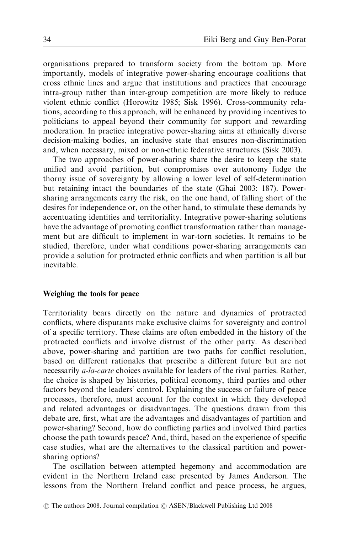organisations prepared to transform society from the bottom up. More importantly, models of integrative power-sharing encourage coalitions that cross ethnic lines and argue that institutions and practices that encourage intra-group rather than inter-group competition are more likely to reduce violent ethnic conflict (Horowitz 1985; Sisk 1996). Cross-community relations, according to this approach, will be enhanced by providing incentives to politicians to appeal beyond their community for support and rewarding moderation. In practice integrative power-sharing aims at ethnically diverse decision-making bodies, an inclusive state that ensures non-discrimination and, when necessary, mixed or non-ethnic federative structures (Sisk 2003).

The two approaches of power-sharing share the desire to keep the state unified and avoid partition, but compromises over autonomy fudge the thorny issue of sovereignty by allowing a lower level of self-determination but retaining intact the boundaries of the state (Ghai 2003: 187). Powersharing arrangements carry the risk, on the one hand, of falling short of the desires for independence or, on the other hand, to stimulate these demands by accentuating identities and territoriality. Integrative power-sharing solutions have the advantage of promoting conflict transformation rather than management but are difficult to implement in war-torn societies. It remains to be studied, therefore, under what conditions power-sharing arrangements can provide a solution for protracted ethnic conflicts and when partition is all but inevitable.

#### Weighing the tools for peace

Territoriality bears directly on the nature and dynamics of protracted conflicts, where disputants make exclusive claims for sovereignty and control of a specific territory. These claims are often embedded in the history of the protracted conflicts and involve distrust of the other party. As described above, power-sharing and partition are two paths for conflict resolution, based on different rationales that prescribe a different future but are not necessarily a-la-carte choices available for leaders of the rival parties. Rather, the choice is shaped by histories, political economy, third parties and other factors beyond the leaders' control. Explaining the success or failure of peace processes, therefore, must account for the context in which they developed and related advantages or disadvantages. The questions drawn from this debate are, first, what are the advantages and disadvantages of partition and power-sharing? Second, how do conflicting parties and involved third parties choose the path towards peace? And, third, based on the experience of specific case studies, what are the alternatives to the classical partition and powersharing options?

The oscillation between attempted hegemony and accommodation are evident in the Northern Ireland case presented by James Anderson. The lessons from the Northern Ireland conflict and peace process, he argues,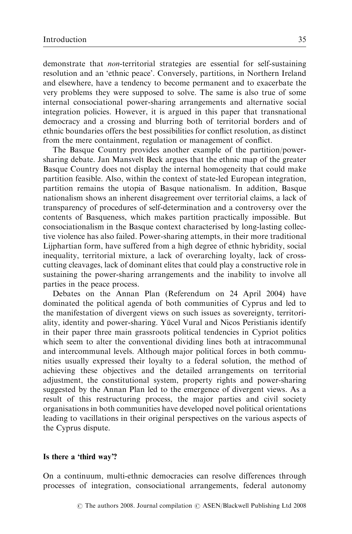demonstrate that non-territorial strategies are essential for self-sustaining resolution and an 'ethnic peace'. Conversely, partitions, in Northern Ireland and elsewhere, have a tendency to become permanent and to exacerbate the very problems they were supposed to solve. The same is also true of some internal consociational power-sharing arrangements and alternative social integration policies. However, it is argued in this paper that transnational democracy and a crossing and blurring both of territorial borders and of ethnic boundaries offers the best possibilities for conflict resolution, as distinct from the mere containment, regulation or management of conflict.

The Basque Country provides another example of the partition/powersharing debate. Jan Mansvelt Beck argues that the ethnic map of the greater Basque Country does not display the internal homogeneity that could make partition feasible. Also, within the context of state-led European integration, partition remains the utopia of Basque nationalism. In addition, Basque nationalism shows an inherent disagreement over territorial claims, a lack of transparency of procedures of self-determination and a controversy over the contents of Basqueness, which makes partition practically impossible. But consociationalism in the Basque context characterised by long-lasting collective violence has also failed. Power-sharing attempts, in their more traditional Lijphartian form, have suffered from a high degree of ethnic hybridity, social inequality, territorial mixture, a lack of overarching loyalty, lack of crosscutting cleavages, lack of dominant elites that could play a constructive role in sustaining the power-sharing arrangements and the inability to involve all parties in the peace process.

Debates on the Annan Plan (Referendum on 24 April 2004) have dominated the political agenda of both communities of Cyprus and led to the manifestation of divergent views on such issues as sovereignty, territoriality, identity and power-sharing. Yücel Vural and Nicos Peristianis identify in their paper three main grassroots political tendencies in Cypriot politics which seem to alter the conventional dividing lines both at intracommunal and intercommunal levels. Although major political forces in both communities usually expressed their loyalty to a federal solution, the method of achieving these objectives and the detailed arrangements on territorial adjustment, the constitutional system, property rights and power-sharing suggested by the Annan Plan led to the emergence of divergent views. As a result of this restructuring process, the major parties and civil society organisations in both communities have developed novel political orientations leading to vacillations in their original perspectives on the various aspects of the Cyprus dispute.

#### Is there a 'third way'?

On a continuum, multi-ethnic democracies can resolve differences through processes of integration, consociational arrangements, federal autonomy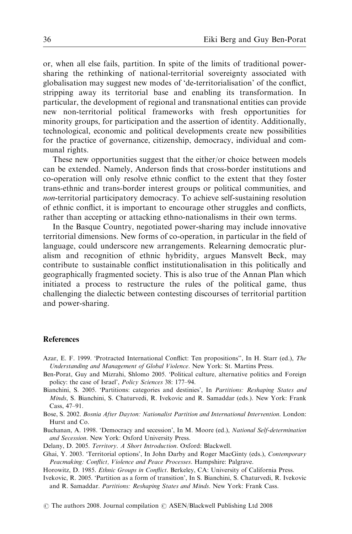or, when all else fails, partition. In spite of the limits of traditional powersharing the rethinking of national-territorial sovereignty associated with globalisation may suggest new modes of 'de-territorialisation' of the conflict, stripping away its territorial base and enabling its transformation. In particular, the development of regional and transnational entities can provide new non-territorial political frameworks with fresh opportunities for minority groups, for participation and the assertion of identity. Additionally, technological, economic and political developments create new possibilities for the practice of governance, citizenship, democracy, individual and communal rights.

These new opportunities suggest that the either/or choice between models can be extended. Namely, Anderson finds that cross-border institutions and co-operation will only resolve ethnic conflict to the extent that they foster trans-ethnic and trans-border interest groups or political communities, and non-territorial participatory democracy. To achieve self-sustaining resolution of ethnic conflict, it is important to encourage other struggles and conflicts, rather than accepting or attacking ethno-nationalisms in their own terms.

In the Basque Country, negotiated power-sharing may include innovative territorial dimensions. New forms of co-operation, in particular in the field of language, could underscore new arrangements. Relearning democratic pluralism and recognition of ethnic hybridity, argues Mansvelt Beck, may contribute to sustainable conflict institutionalisation in this politically and geographically fragmented society. This is also true of the Annan Plan which initiated a process to restructure the rules of the political game, thus challenging the dialectic between contesting discourses of territorial partition and power-sharing.

#### **References**

- Azar, E. F. 1999. 'Protracted International Conflict: Ten propositions'', In H. Starr (ed.), The Understanding and Management of Global Violence. New York: St. Martins Press.
- Ben-Porat, Guy and Mizrahi, Shlomo 2005. 'Political culture, alternative politics and Foreign policy: the case of Israel', Policy Sciences 38: 177–94.
- Bianchini, S. 2005. 'Partitions: categories and destinies', In Partitions: Reshaping States and Minds, S. Bianchini, S. Chaturvedi, R. Ivekovic and R. Samaddar (eds.). New York: Frank Cass, 47–91.
- Bose, S. 2002. Bosnia After Dayton: Nationalist Partition and International Intervention. London: Hurst and Co.
- Buchanan, A. 1998. 'Democracy and secession', In M. Moore (ed.), National Self-determination and Secession. New York: Oxford University Press.
- Delany, D. 2005. Territory. A Short Introduction. Oxford: Blackwell.
- Ghai, Y. 2003. 'Territorial options', In John Darby and Roger MacGinty (eds.), Contemporary Peacmaking: Conflict, Violence and Peace Processes. Hampshire: Palgrave.
- Horowitz, D. 1985. Ethnic Groups in Conflict. Berkeley, CA: University of California Press.
- Ivekovic, R. 2005. 'Partition as a form of transition', In S. Bianchini, S. Chaturvedi, R. Ivekovic and R. Samaddar. Partitions: Reshaping States and Minds. New York: Frank Cass.
- $C$  The authors 2008. Journal compilation  $C$  ASEN/Blackwell Publishing Ltd 2008